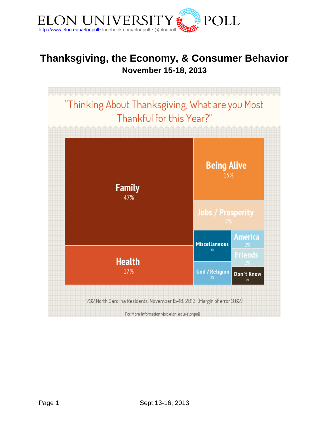

# **Thanksgiving, the Economy, & Consumer Behavior November 15-18, 2013**

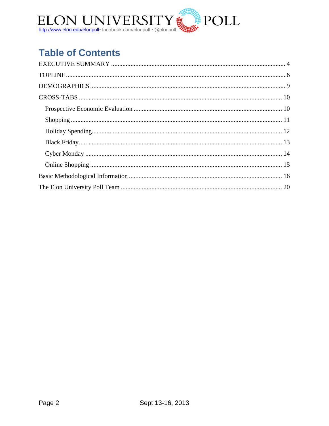

# **Table of Contents**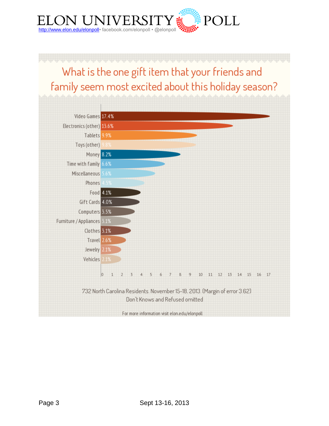

# What is the one gift item that your friends and family seem most excited about this holiday season?

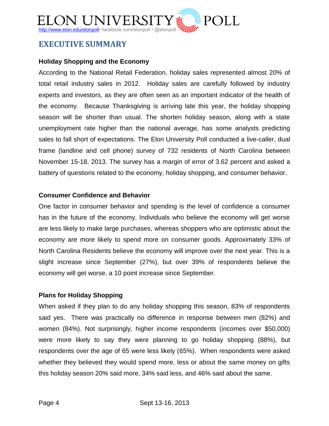# ELON UNIVERSIT http://www.elon.edu/elonpoll• facebook.com/elonpoll • @elonpoll

# <span id="page-3-0"></span>**EXECUTIVE SUMMARY**

### **Holiday Shopping and the Economy**

According to the National Retail Federation, holiday sales represented almost 20% of total retail industry sales in 2012. Holiday sales are carefully followed by industry experts and investors, as they are often seen as an important indicator of the health of the economy. Because Thanksgiving is arriving late this year, the holiday shopping season will be shorter than usual. The shorten holiday season, along with a state unemployment rate higher than the national average, has some analysts predicting sales to fall short of expectations. The Elon University Poll conducted a live-caller, dual frame (landline and cell phone) survey of 732 residents of North Carolina between November 15-18, 2013. The survey has a margin of error of 3.62 percent and asked a battery of questions related to the economy, holiday shopping, and consumer behavior.

### **Consumer Confidence and Behavior**

One factor in consumer behavior and spending is the level of confidence a consumer has in the future of the economy. Individuals who believe the economy will get worse are less likely to make large purchases, whereas shoppers who are optimistic about the economy are more likely to spend more on consumer goods. Approximately 33% of North Carolina Residents believe the economy will improve over the next year. This is a slight increase since September (27%), but over 39% of respondents believe the economy will get worse, a 10 point increase since September.

### **Plans for Holiday Shopping**

When asked if they plan to do any holiday shopping this season, 83% of respondents said yes. There was practically no difference in response between men (82%) and women (84%). Not surprisingly, higher income respondents (incomes over \$50,000) were more likely to say they were planning to go holiday shopping (88%), but respondents over the age of 65 were less likely (65%). When respondents were asked whether they believed they would spend more, less or about the same money on gifts this holiday season 20% said more, 34% said less, and 46% said about the same.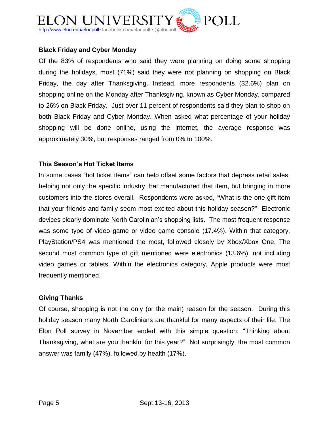

### **Black Friday and Cyber Monday**

Of the 83% of respondents who said they were planning on doing some shopping during the holidays, most (71%) said they were not planning on shopping on Black Friday, the day after Thanksgiving. Instead, more respondents (32.6%) plan on shopping online on the Monday after Thanksgiving, known as Cyber Monday, compared to 26% on Black Friday. Just over 11 percent of respondents said they plan to shop on both Black Friday and Cyber Monday. When asked what percentage of your holiday shopping will be done online, using the internet, the average response was approximately 30%, but responses ranged from 0% to 100%.

### **This Season's Hot Ticket Items**

In some cases "hot ticket items" can help offset some factors that depress retail sales, helping not only the specific industry that manufactured that item, but bringing in more customers into the stores overall. Respondents were asked, "What is the one gift item that your friends and family seem most excited about this holiday season?" Electronic devices clearly dominate North Carolinian's shopping lists. The most frequent response was some type of video game or video game console (17.4%). Within that category, PlayStation/PS4 was mentioned the most, followed closely by Xbox/Xbox One. The second most common type of gift mentioned were electronics (13.6%), not including video games or tablets. Within the electronics category, Apple products were most frequently mentioned.

### **Giving Thanks**

Of course, shopping is not the only (or the main) reason for the season. During this holiday season many North Carolinians are thankful for many aspects of their life. The Elon Poll survey in November ended with this simple question: "Thinking about Thanksgiving, what are you thankful for this year?" Not surprisingly, the most common answer was family (47%), followed by health (17%).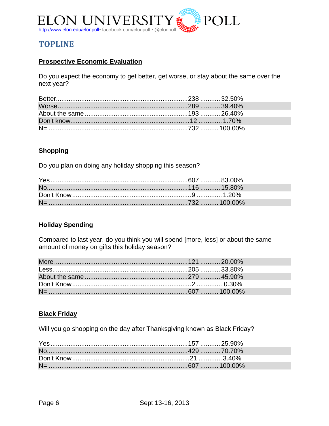

# <span id="page-5-0"></span>**TOPLINE**

### **Prospective Economic Evaluation**

Do you expect the economy to get better, get worse, or stay about the same over the next year?

### **Shopping**

Do you plan on doing any holiday shopping this season?

### **Holiday Spending**

Compared to last year, do you think you will spend [more, less] or about the same amount of money on gifts this holiday season?

### **Black Friday**

Will you go shopping on the day after Thanksgiving known as Black Friday?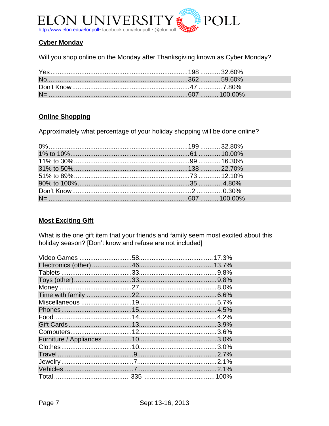

### **Cyber Monday**

Will you shop online on the Monday after Thanksgiving known as Cyber Monday?

### **Online Shopping**

Approximately what percentage of your holiday shopping will be done online?

### **Most Exciting Gift**

What is the one gift item that your friends and family seem most excited about this holiday season? [Don't know and refuse are not included]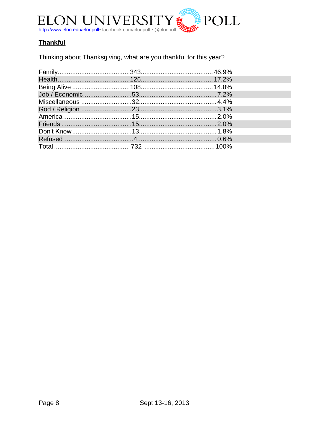

## **Thankful**

Thinking about Thanksgiving, what are you thankful for this year?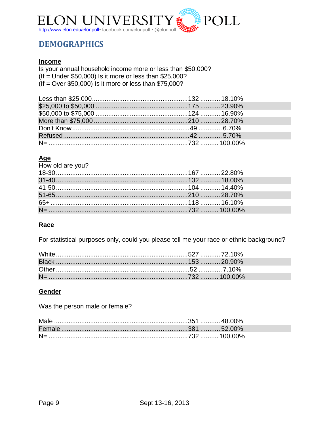

# <span id="page-8-0"></span>**DEMOGRAPHICS**

### **Income**

Is your annual household income more or less than \$50,000? (If = Under  $$50,000$ ) Is it more or less than  $$25,000$ ?  $($ If = Over \$50,000) Is it more or less than \$75,000?

# $\frac{\text{Age}}{\text{How}}$

| How old are you?                                                |  |
|-----------------------------------------------------------------|--|
| 110w old are you :<br>18-30…………………………………………………………167 …………22.80% |  |
|                                                                 |  |
|                                                                 |  |
|                                                                 |  |
|                                                                 |  |
|                                                                 |  |

### Race

For statistical purposes only, could you please tell me your race or ethnic background?

### Gender

Was the person male or female?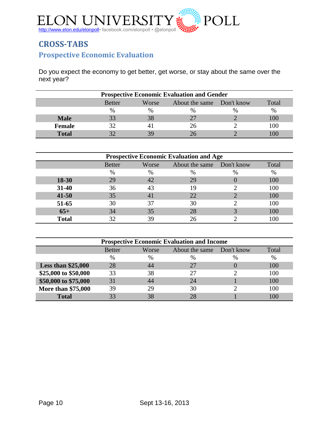

# <span id="page-9-1"></span><span id="page-9-0"></span>**CROSS-TABS Prospective Economic Evaluation**

Do you expect the economy to get better, get worse, or stay about the same over the next year?

| <b>Prospective Economic Evaluation and Gender</b> |                                                              |    |  |  |      |  |
|---------------------------------------------------|--------------------------------------------------------------|----|--|--|------|--|
|                                                   | Total<br>About the same Don't know<br>Worse<br><b>Better</b> |    |  |  |      |  |
|                                                   | %                                                            | %  |  |  | $\%$ |  |
| <b>Male</b>                                       |                                                              | 38 |  |  |      |  |
| <b>Female</b>                                     |                                                              |    |  |  | 100  |  |
| <b>Total</b>                                      |                                                              |    |  |  |      |  |

| <b>Prospective Economic Evaluation and Age</b> |               |       |                           |      |       |  |
|------------------------------------------------|---------------|-------|---------------------------|------|-------|--|
|                                                | <b>Better</b> | Worse | About the same Don't know |      | Total |  |
|                                                | $\%$          | $\%$  | $\%$                      | $\%$ | %     |  |
| $18-30$                                        | 29            |       | 29                        |      | 100   |  |
| 31-40                                          | 36            | 43    | 19                        |      | 100   |  |
| $41 - 50$                                      | 35            |       | 22                        |      | 100   |  |
| 51-65                                          | 30            | 37    | 30                        |      | 100   |  |
| $65+$                                          | 34            | 35    | 28                        |      | 100   |  |
| <b>Total</b>                                   | 32            |       |                           |      |       |  |

| <b>Prospective Economic Evaluation and Income</b> |               |       |                           |      |       |  |
|---------------------------------------------------|---------------|-------|---------------------------|------|-------|--|
|                                                   | <b>Better</b> | Worse | About the same Don't know |      | Total |  |
|                                                   | $\%$          | $\%$  | $\%$                      | $\%$ | %     |  |
| Less than $$25,000$                               | 28            | 44    | 27                        |      | 100   |  |
| \$25,000 to \$50,000                              | 33            | 38    | 27                        |      | 100   |  |
| \$50,000 to \$75,000                              | 31            | 44    | 24                        |      | 100   |  |
| More than \$75,000                                | 39            | 29    | 30                        |      | 100   |  |
| <b>Total</b>                                      |               |       |                           |      |       |  |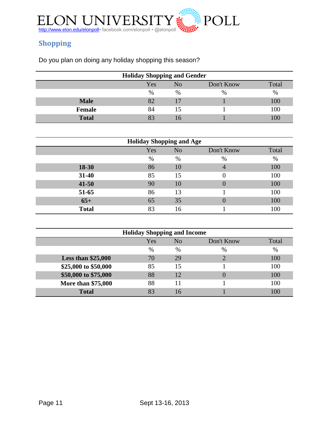

# <span id="page-10-0"></span>**Shopping**

Do you plan on doing any holiday shopping this season?

| <b>Holiday Shopping and Gender</b> |                                  |      |      |     |  |  |  |
|------------------------------------|----------------------------------|------|------|-----|--|--|--|
|                                    | Yes<br>Don't Know<br>No<br>Total |      |      |     |  |  |  |
|                                    | %                                | $\%$ | $\%$ | %   |  |  |  |
| <b>Male</b>                        |                                  |      |      | 100 |  |  |  |
| Female                             | 84                               |      |      | 100 |  |  |  |
| <b>Total</b>                       |                                  |      |      | 00  |  |  |  |

| <b>Holiday Shopping and Age</b> |      |                |                  |       |  |  |
|---------------------------------|------|----------------|------------------|-------|--|--|
|                                 | Yes  | N <sub>o</sub> | Don't Know       | Total |  |  |
|                                 | $\%$ | %              | $\%$             | %     |  |  |
| 18-30                           | 86   | 10             | 4                | 100   |  |  |
| $31 - 40$                       | 85   | 15             |                  | 100   |  |  |
| $41 - 50$                       | 90   | 10             | $\left( \right)$ | 100   |  |  |
| 51-65                           | 86   | 13             |                  | 100   |  |  |
| $65+$                           | 65   | 35             | $\left( \right)$ | 100   |  |  |
| <b>Total</b>                    | 83   | 16             |                  | 100   |  |  |

| <b>Holiday Shopping and Income</b> |      |                |            |       |  |
|------------------------------------|------|----------------|------------|-------|--|
|                                    | Yes  | N <sub>o</sub> | Don't Know | Total |  |
|                                    | $\%$ | $\%$           | $\%$       | %     |  |
| Less than $$25,000$                | 70   | 29             |            | 100   |  |
| \$25,000 to \$50,000               | 85   | 15             |            | 100   |  |
| \$50,000 to \$75,000               | 88   | 12             | $\cup$     | 100   |  |
| More than \$75,000                 | 88   |                |            | 100   |  |
| <b>Total</b>                       |      |                |            | 100   |  |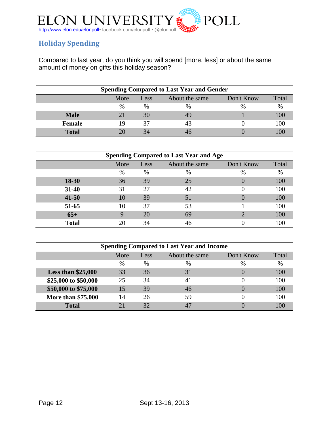

## <span id="page-11-0"></span>**Holiday Spending**

Compared to last year, do you think you will spend [more, less] or about the same amount of money on gifts this holiday season?

| <b>Spending Compared to Last Year and Gender</b>      |      |               |      |               |      |  |
|-------------------------------------------------------|------|---------------|------|---------------|------|--|
| Don't Know<br>Total<br>About the same<br>More<br>Less |      |               |      |               |      |  |
|                                                       | $\%$ | $\frac{0}{0}$ | $\%$ | $\frac{0}{0}$ | $\%$ |  |
| <b>Male</b>                                           |      | 30            | 49   |               | 100  |  |
| <b>Female</b>                                         | 19   | 37            | 43   |               | 100  |  |
| <b>Total</b>                                          |      | 34            |      |               |      |  |

| <b>Spending Compared to Last Year and Age</b> |          |      |                |            |       |  |  |
|-----------------------------------------------|----------|------|----------------|------------|-------|--|--|
|                                               | More     | Less | About the same | Don't Know | Total |  |  |
|                                               | $\%$     | %    | $\%$           | %          | $\%$  |  |  |
| 18-30                                         | 36       | 39   | 25             |            | 100   |  |  |
| $31 - 40$                                     | 31       | 27   | 42             | 0          | 100   |  |  |
| $41 - 50$                                     | 10       | 39   | 51             |            | 100   |  |  |
| 51-65                                         | 10       | 37   | 53             |            | 100   |  |  |
| $65+$                                         | <u>Q</u> | 20   | 69             |            | 100   |  |  |
| <b>Total</b>                                  |          | 34   | 46             |            | 100   |  |  |

| <b>Spending Compared to Last Year and Income</b> |                                              |      |      |      |      |  |  |
|--------------------------------------------------|----------------------------------------------|------|------|------|------|--|--|
|                                                  | About the same<br>Don't Know<br>More<br>Less |      |      |      |      |  |  |
|                                                  | $\%$                                         | $\%$ | $\%$ | $\%$ | $\%$ |  |  |
| Less than $$25,000$                              | 33                                           | 36   | 31   |      | 100  |  |  |
| \$25,000 to \$50,000                             | 25                                           | 34   | 41   |      | 100  |  |  |
| \$50,000 to \$75,000                             | 15                                           | 39   | 46   |      | 100  |  |  |
| More than \$75,000                               | 14                                           | 26   | 59   |      | 100  |  |  |
| <b>Total</b>                                     |                                              | 32   | 47   |      | 100  |  |  |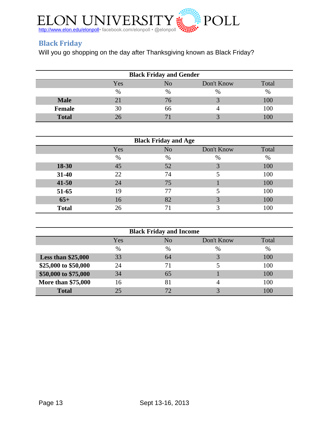

## <span id="page-12-0"></span>**Black Friday**

Will you go shopping on the day after Thanksgiving known as Black Friday?

| <b>Black Friday and Gender</b>   |      |      |      |     |  |  |
|----------------------------------|------|------|------|-----|--|--|
| Don't Know<br>Total<br>Yes<br>No |      |      |      |     |  |  |
|                                  | $\%$ | $\%$ | $\%$ | %   |  |  |
| <b>Male</b>                      |      | 76   |      | 100 |  |  |
| <b>Female</b>                    | 30   | 66   |      | 100 |  |  |
| <b>Total</b>                     |      |      |      |     |  |  |

| <b>Black Friday and Age</b> |      |    |            |       |  |  |  |
|-----------------------------|------|----|------------|-------|--|--|--|
|                             | Yes  | No | Don't Know | Total |  |  |  |
|                             | $\%$ | %  | $\%$       | $\%$  |  |  |  |
| 18-30                       | 45   | 52 | 3          | 100   |  |  |  |
| 31-40                       | 22   | 74 |            | 100   |  |  |  |
| $41 - 50$                   | 24   | 75 |            | 100   |  |  |  |
| 51-65                       | 19   | 77 |            | 100   |  |  |  |
| $65+$                       | 16   | 82 |            | 100   |  |  |  |
| <b>Total</b>                | 26   | 71 |            | 100   |  |  |  |

| <b>Black Friday and Income</b> |      |      |            |       |  |  |
|--------------------------------|------|------|------------|-------|--|--|
|                                | Yes  | No   | Don't Know | Total |  |  |
|                                | $\%$ | $\%$ | $\%$       | $\%$  |  |  |
| Less than $$25,000$            | 33   | 64   |            | 100   |  |  |
| \$25,000 to \$50,000           | 24   | 71   |            | 100   |  |  |
| \$50,000 to \$75,000           | 34   | 65   |            | 100   |  |  |
| More than \$75,000             | 16   | 81   | 4          | 100   |  |  |
| <b>Total</b>                   | 25.  | 72   |            | 100   |  |  |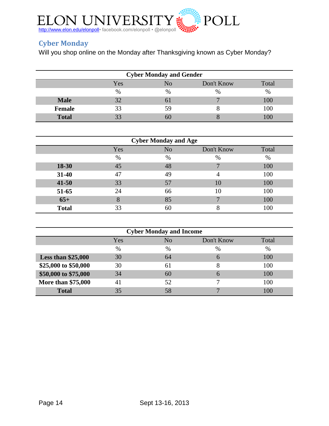

# <span id="page-13-0"></span>**Cyber Monday**

Will you shop online on the Monday after Thanksgiving known as Cyber Monday?

| <b>Cyber Monday and Gender</b> |      |    |            |       |  |  |
|--------------------------------|------|----|------------|-------|--|--|
|                                | Yes  | NO | Don't Know | Total |  |  |
|                                | $\%$ | %  | $\%$       | $\%$  |  |  |
| <b>Male</b>                    |      | 01 |            | 100   |  |  |
| <b>Female</b>                  | 33   | 59 |            | 100   |  |  |
| <b>Total</b>                   |      | วเ |            |       |  |  |

|              |      | <b>Cyber Monday and Age</b> |                |       |
|--------------|------|-----------------------------|----------------|-------|
|              | Yes  | N <sub>o</sub>              | Don't Know     | Total |
|              | $\%$ | %                           | %              | $\%$  |
| 18-30        | 45   | 48                          |                | 100   |
| 31-40        | 47   | 49                          | $\overline{4}$ | 100   |
| $41 - 50$    | 33   | 57                          | 10             | 100   |
| 51-65        | 24   | 66                          | 10             | 100   |
| $65+$        | 8    | 85                          |                | 100   |
| <b>Total</b> | 33   | 60                          |                | 100   |

| <b>Cyber Monday and Income</b> |      |      |              |       |  |  |
|--------------------------------|------|------|--------------|-------|--|--|
|                                | Yes  | No   | Don't Know   | Total |  |  |
|                                | $\%$ | $\%$ | $\%$         | $\%$  |  |  |
| Less than $$25,000$            | 30   | 64   | 6            | 100   |  |  |
| \$25,000 to \$50,000           | 30   | 61   |              | 100   |  |  |
| \$50,000 to \$75,000           | 34   | 60   | 6            | 100   |  |  |
| More than \$75,000             | 41   | 52   |              | 100   |  |  |
| <b>Total</b>                   | 35   | 58   | $\mathbf{r}$ | 100   |  |  |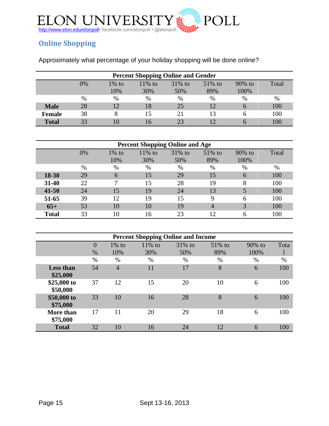

# <span id="page-14-0"></span>**Online Shopping**

| Approximately what percentage of your holiday shopping will be done online? |  |  |  |  |
|-----------------------------------------------------------------------------|--|--|--|--|
|                                                                             |  |  |  |  |

| <b>Percent Shopping Online and Gender</b> |    |          |           |           |           |        |       |
|-------------------------------------------|----|----------|-----------|-----------|-----------|--------|-------|
|                                           | 0% | $1\%$ to | $11\%$ to | $31\%$ to | $51\%$ to | 90% to | Total |
|                                           |    | 10%      | 30%       | 50%       | 89%       | 100%   |       |
|                                           | %  | %        | %         | %         | $\%$      | %      | $\%$  |
| <b>Male</b>                               | 28 |          | 18        | 25        |           | 6      | 100   |
| <b>Female</b>                             | 38 |          | 15        | 21        |           | h      | 100   |
| <b>Total</b>                              | 33 |          | 16        | 23        |           | h      | 100   |

| <b>Percent Shopping Online and Age</b> |    |          |           |           |             |        |       |
|----------------------------------------|----|----------|-----------|-----------|-------------|--------|-------|
|                                        | 0% | $1\%$ to | $11\%$ to | $31\%$ to | 51% to      | 90% to | Total |
|                                        |    | 10%      | 30%       | 50%       | 89%         | 100%   |       |
|                                        | %  | $\%$     | $\%$      | $\%$      | $\%$        | $\%$   | $\%$  |
| $18 - 30$                              | 29 | 6        | 15        | 29        | 15          | 6      | 100   |
| $31 - 40$                              | 22 |          | 15        | 28        | 19          | 8      | 100   |
| $41 - 50$                              | 24 | 15       | 19        | 24        | 13          | 5      | 100   |
| 51-65                                  | 39 | 12       | 19        | 15        | $\mathbf Q$ | 6      | 100   |
| $65+$                                  | 53 | 10       | 10        | 19        |             | 3      | 100   |
| <b>Total</b>                           | 33 | 10       | 16        | 23        | 12          | 6      | 100   |

| <b>Percent Shopping Online and Income</b> |                  |                |           |           |           |           |      |
|-------------------------------------------|------------------|----------------|-----------|-----------|-----------|-----------|------|
|                                           | $\left( \right)$ | $1\%$ to       | $11\%$ to | $31\%$ to | $51\%$ to | $90\%$ to | Tota |
|                                           | $\%$             | 10%            | 30%       | 50%       | 89%       | 100%      | 1    |
|                                           | $\%$             | %              | $\%$      | $\%$      | $\%$      | $\%$      | $\%$ |
| <b>Less than</b><br>\$25,000              | 54               | $\overline{4}$ | 11        | 17        | 8         | 6         | 100  |
| \$25,000 to<br>\$50,000                   | 37               | 12             | 15        | 20        | 10        | 6         | 100  |
| \$50,000 to<br>\$75,000                   | 33               | 10             | 16        | 28        | 8         | 6         | 100  |
| <b>More than</b><br>\$75,000              | 17               | 11             | 20        | 29        | 18        | 6         | 100  |
| <b>Total</b>                              | 32               | 10             | 16        | 24        | 12        | 6         | 100  |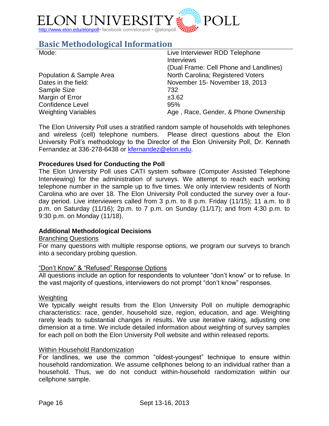

# <span id="page-15-0"></span>**Basic Methodological Information**

| Mode:                      | Live Interviewer RDD Telephone<br><b>Interviews</b> |
|----------------------------|-----------------------------------------------------|
|                            | (Dual Frame: Cell Phone and Landlines)              |
| Population & Sample Area   | North Carolina; Registered Voters                   |
| Dates in the field:        | November 15- November 18, 2013                      |
| Sample Size                | 732                                                 |
| Margin of Error            | ±3.62                                               |
| <b>Confidence Level</b>    | 95%                                                 |
| <b>Weighting Variables</b> | Age, Race, Gender, & Phone Ownership                |

The Elon University Poll uses a stratified random sample of households with telephones and wireless (cell) telephone numbers. Please direct questions about the Elon University Poll's methodology to the Director of the Elon University Poll, Dr. Kenneth Fernandez at 336-278-6438 or [kfernandez@elon.edu.](mailto:kfernandez@elon.edu)

### **Procedures Used for Conducting the Poll**

The Elon University Poll uses CATI system software (Computer Assisted Telephone Interviewing) for the administration of surveys. We attempt to reach each working telephone number in the sample up to five times. We only interview residents of North Carolina who are over 18. The Elon University Poll conducted the survey over a fourday period. Live interviewers called from 3 p.m. to 8 p.m. Friday (11/15); 11 a.m. to 8 p.m. on Saturday (11/16); 2p.m. to 7 p.m. on Sunday (11/17); and from 4:30 p.m. to 9:30 p.m. on Monday (11/18).

#### **Additional Methodological Decisions**

#### Branching Questions

For many questions with multiple response options, we program our surveys to branch into a secondary probing question.

#### "Don't Know" & "Refused" Response Options

All questions include an option for respondents to volunteer "don't know" or to refuse. In the vast majority of questions, interviewers do not prompt "don't know" responses.

#### Weighting

We typically weight results from the Elon University Poll on multiple demographic characteristics: race, gender, household size, region, education, and age. Weighting rarely leads to substantial changes in results. We use iterative raking, adjusting one dimension at a time. We include detailed information about weighting of survey samples for each poll on both the Elon University Poll website and within released reports.

#### Within Household Randomization

For landlines, we use the common "oldest-youngest" technique to ensure within household randomization. We assume cellphones belong to an individual rather than a household. Thus, we do not conduct within-household randomization within our cellphone sample.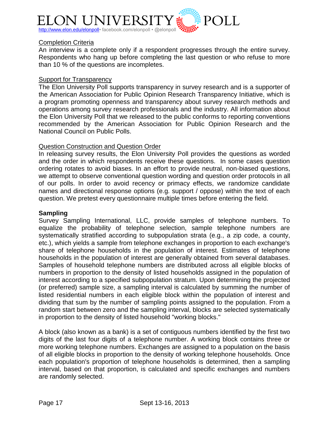

#### Completion Criteria

An interview is a complete only if a respondent progresses through the entire survey. Respondents who hang up before completing the last question or who refuse to more than 10 % of the questions are incompletes.

#### **Support for Transparency**

The Elon University Poll supports transparency in survey research and is a supporter of the American Association for Public Opinion Research Transparency Initiative, which is a program promoting openness and transparency about survey research methods and operations among survey research professionals and the industry. All information about the Elon University Poll that we released to the public conforms to reporting conventions recommended by the American Association for Public Opinion Research and the National Council on Public Polls.

#### Question Construction and Question Order

In releasing survey results, the Elon University Poll provides the questions as worded and the order in which respondents receive these questions. In some cases question ordering rotates to avoid biases. In an effort to provide neutral, non-biased questions, we attempt to observe conventional question wording and question order protocols in all of our polls. In order to avoid recency or primacy effects, we randomize candidate names and directional response options (e.g. support / oppose) within the text of each question. We pretest every questionnaire multiple times before entering the field.

#### **Sampling**

Survey Sampling International, LLC, provide samples of telephone numbers. To equalize the probability of telephone selection, sample telephone numbers are systematically stratified according to subpopulation strata (e.g., a zip code, a county, etc.), which yields a sample from telephone exchanges in proportion to each exchange's share of telephone households in the population of interest. Estimates of telephone households in the population of interest are generally obtained from several databases. Samples of household telephone numbers are distributed across all eligible blocks of numbers in proportion to the density of listed households assigned in the population of interest according to a specified subpopulation stratum. Upon determining the projected (or preferred) sample size, a sampling interval is calculated by summing the number of listed residential numbers in each eligible block within the population of interest and dividing that sum by the number of sampling points assigned to the population. From a random start between zero and the sampling interval, blocks are selected systematically in proportion to the density of listed household "working blocks."

A block (also known as a bank) is a set of contiguous numbers identified by the first two digits of the last four digits of a telephone number. A working block contains three or more working telephone numbers. Exchanges are assigned to a population on the basis of all eligible blocks in proportion to the density of working telephone households. Once each population's proportion of telephone households is determined, then a sampling interval, based on that proportion, is calculated and specific exchanges and numbers are randomly selected.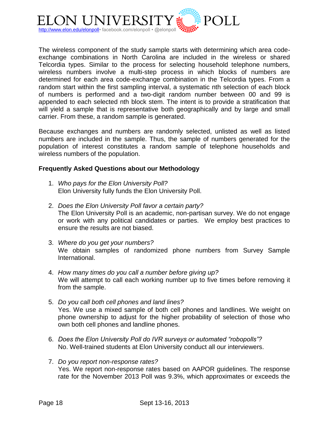

The wireless component of the study sample starts with determining which area codeexchange combinations in North Carolina are included in the wireless or shared Telcordia types. Similar to the process for selecting household telephone numbers, wireless numbers involve a multi-step process in which blocks of numbers are determined for each area code-exchange combination in the Telcordia types. From a random start within the first sampling interval, a systematic nth selection of each block of numbers is performed and a two-digit random number between 00 and 99 is appended to each selected nth block stem. The intent is to provide a stratification that will yield a sample that is representative both geographically and by large and small carrier. From these, a random sample is generated.

Because exchanges and numbers are randomly selected, unlisted as well as listed numbers are included in the sample. Thus, the sample of numbers generated for the population of interest constitutes a random sample of telephone households and wireless numbers of the population.

### **Frequently Asked Questions about our Methodology**

- 1. *Who pays for the Elon University Poll?* Elon University fully funds the Elon University Poll.
- 2. *Does the Elon University Poll favor a certain party?* The Elon University Poll is an academic, non-partisan survey. We do not engage or work with any political candidates or parties. We employ best practices to ensure the results are not biased.
- 3. *Where do you get your numbers?* We obtain samples of randomized phone numbers from Survey Sample International.
- 4. *How many times do you call a number before giving up?* We will attempt to call each working number up to five times before removing it from the sample.
- 5. *Do you call both cell phones and land lines?* Yes. We use a mixed sample of both cell phones and landlines. We weight on phone ownership to adjust for the higher probability of selection of those who own both cell phones and landline phones.
- 6. *Does the Elon University Poll do IVR surveys or automated "robopolls"?* No. Well-trained students at Elon University conduct all our interviewers.
- 7. *Do you report non-response rates?* Yes. We report non-response rates based on AAPOR guidelines. The response rate for the November 2013 Poll was 9.3%, which approximates or exceeds the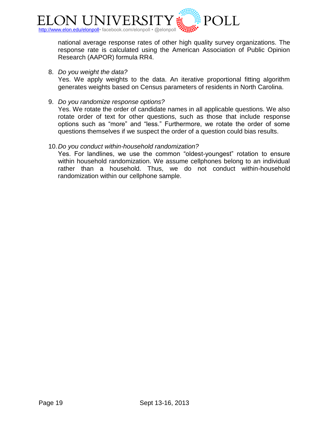

national average response rates of other high quality survey organizations. The response rate is calculated using the American Association of Public Opinion Research (AAPOR) formula RR4.

8. *Do you weight the data?*

Yes. We apply weights to the data. An iterative proportional fitting algorithm generates weights based on Census parameters of residents in North Carolina.

9. *Do you randomize response options?*

Yes. We rotate the order of candidate names in all applicable questions. We also rotate order of text for other questions, such as those that include response options such as "more" and "less." Furthermore, we rotate the order of some questions themselves if we suspect the order of a question could bias results.

#### 10.*Do you conduct within-household randomization?*

Yes. For landlines, we use the common "oldest-youngest" rotation to ensure within household randomization. We assume cellphones belong to an individual rather than a household. Thus, we do not conduct within-household randomization within our cellphone sample.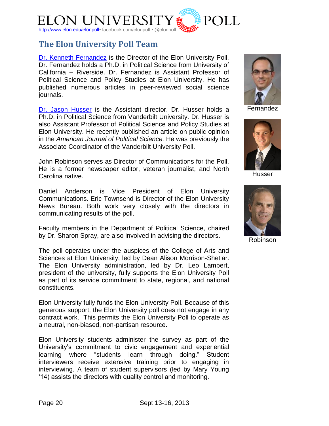

# <span id="page-19-0"></span>**The Elon University Poll Team**

[Dr. Kenneth Fernandez](http://www.elon.edu/directories/profile/?user=kfernandez) is the Director of the Elon University Poll. Dr. Fernandez holds a Ph.D. in Political Science from University of California – Riverside. Dr. Fernandez is Assistant Professor of Political Science and Policy Studies at Elon University. He has published numerous articles in peer-reviewed social science journals.

[Dr. Jason Husser](http://www.elon.edu/directories/profile/?user=jhusser) is the Assistant director. Dr. Husser holds a Ph.D. in Political Science from Vanderbilt University. Dr. Husser is also Assistant Professor of Political Science and Policy Studies at Elon University. He recently published an article on public opinion in the *American Journal of Political Science.* He was previously the Associate Coordinator of the Vanderbilt University Poll.

John Robinson serves as Director of Communications for the Poll. He is a former newspaper editor, veteran journalist, and North Carolina native.

Daniel Anderson is Vice President of Elon University Communications. Eric Townsend is Director of the Elon University News Bureau. Both work very closely with the directors in communicating results of the poll.

Faculty members in the Department of Political Science, chaired by Dr. Sharon Spray, are also involved in advising the directors.

The poll operates under the auspices of the College of Arts and Sciences at Elon University, led by Dean Alison Morrison-Shetlar. The Elon University administration, led by Dr. Leo Lambert, president of the university, fully supports the Elon University Poll as part of its service commitment to state, regional, and national constituents.

Elon University fully funds the Elon University Poll. Because of this generous support, the Elon University poll does not engage in any contract work. This permits the Elon University Poll to operate as a neutral, non-biased, non-partisan resource.

Elon University students administer the survey as part of the University's commitment to civic engagement and experiential learning where "students learn through doing." Student interviewers receive extensive training prior to engaging in interviewing. A team of student supervisors (led by Mary Young '14) assists the directors with quality control and monitoring.



Fernandez



**Husser** 



Robinson